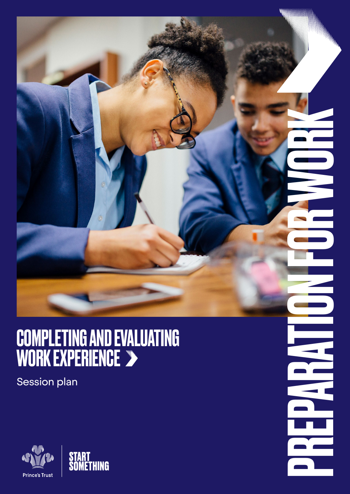### COMPLETING AND EVALUATING WORK EXPERIENCE

PREPARATION FOR WORK

n de

 $\overline{\phantom{a}}$ 

Session plan

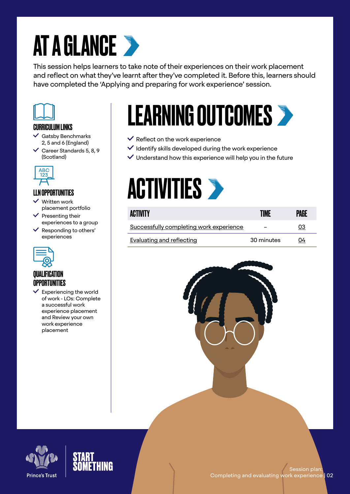# **AT A GLANCE >**

This session helps learners to take note of their experiences on their work placement and reflect on what they've learnt after they've completed it. Before this, learners should have completed the 'Applying and preparing for work experience' session.



#### CURRICULUM LINKS

- $\checkmark$  Gatsby Benchmarks 2, 5 and 6 (England)
- $\vee$  Career Standards 5, 8, 9 (Scotland)



#### LLN OPPORTUNITIES

- Written work placement portfolio
- $\checkmark$  Presenting their experiences to a group
- $\checkmark$  Responding to others' experiences



#### *OUALIFICATION* **OPPORTUNITIES**

 $\checkmark$  Experiencing the world of work - LOs: Complete a successful work experience placement and Review your own work experience placement

# LEARNING OUTCOMES

- $\checkmark$  Reflect on the work experience
- $\checkmark$  Identify skills developed during the work experience
- $\vee$  Understand how this experience will help you in the future

### **ACTIVITIES >**

| ACTIVITY                                | TIME       | PAGE |
|-----------------------------------------|------------|------|
| Successfully completing work experience |            | 03   |
| Evaluating and reflecting               | 30 minutes | 04   |





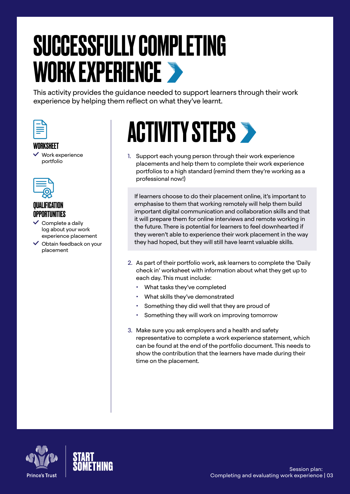### <span id="page-2-0"></span>SUCCESSFULLY COMPLETING WORK EXPERIENCE

This activity provides the guidance needed to support learners through their work experience by helping them reflect on what they've learnt.



#### WORKSHEET

 $\vee$  Work experience portfolio



#### QUALIFICATION OPPORTUNITIES

- $\checkmark$  Complete a daily log about your work experience placement
- $\vee$  Obtain feedback on your placement

# **ACTIVITY STEPS >**

1. Support each young person through their work experience placements and help them to complete their work experience portfolios to a high standard (remind them they're working as a professional now!)

If learners choose to do their placement online, it's important to emphasise to them that working remotely will help them build important digital communication and collaboration skills and that it will prepare them for online interviews and remote working in the future. There is potential for learners to feel downhearted if they weren't able to experience their work placement in the way they had hoped, but they will still have learnt valuable skills.

- 2. As part of their portfolio work, ask learners to complete the 'Daily check in' worksheet with information about what they get up to each day. This must include:
	- What tasks they've completed
	- What skills they've demonstrated
	- Something they did well that they are proud of
	- Something they will work on improving tomorrow
- 3. Make sure you ask employers and a health and safety representative to complete a work experience statement, which can be found at the end of the portfolio document. This needs to show the contribution that the learners have made during their time on the placement.